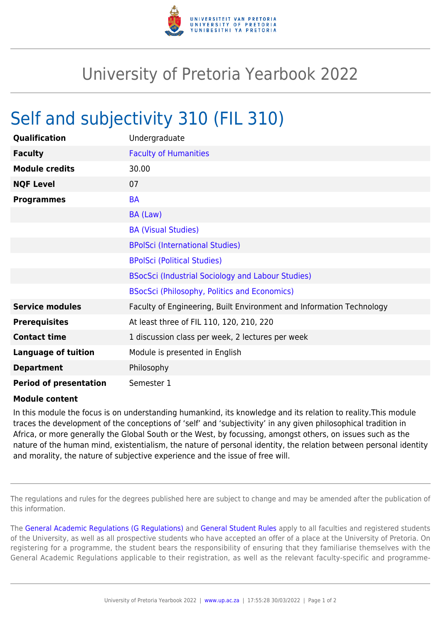

## University of Pretoria Yearbook 2022

## Self and subjectivity 310 (FIL 310)

| Qualification                 | Undergraduate                                                        |
|-------------------------------|----------------------------------------------------------------------|
| <b>Faculty</b>                | <b>Faculty of Humanities</b>                                         |
| <b>Module credits</b>         | 30.00                                                                |
| <b>NQF Level</b>              | 07                                                                   |
| <b>Programmes</b>             | <b>BA</b>                                                            |
|                               | BA (Law)                                                             |
|                               | <b>BA (Visual Studies)</b>                                           |
|                               | <b>BPolSci (International Studies)</b>                               |
|                               | <b>BPolSci (Political Studies)</b>                                   |
|                               | BSocSci (Industrial Sociology and Labour Studies)                    |
|                               | <b>BSocSci (Philosophy, Politics and Economics)</b>                  |
| <b>Service modules</b>        | Faculty of Engineering, Built Environment and Information Technology |
| <b>Prerequisites</b>          | At least three of FIL 110, 120, 210, 220                             |
| <b>Contact time</b>           | 1 discussion class per week, 2 lectures per week                     |
| <b>Language of tuition</b>    | Module is presented in English                                       |
| <b>Department</b>             | Philosophy                                                           |
| <b>Period of presentation</b> | Semester 1                                                           |

## **Module content**

In this module the focus is on understanding humankind, its knowledge and its relation to reality.This module traces the development of the conceptions of 'self' and 'subjectivity' in any given philosophical tradition in Africa, or more generally the Global South or the West, by focussing, amongst others, on issues such as the nature of the human mind, existentialism, the nature of personal identity, the relation between personal identity and morality, the nature of subjective experience and the issue of free will.

The regulations and rules for the degrees published here are subject to change and may be amended after the publication of this information.

The [General Academic Regulations \(G Regulations\)](https://www.up.ac.za/yearbooks/2022/rules/view/REG) and [General Student Rules](https://www.up.ac.za/yearbooks/2022/rules/view/RUL) apply to all faculties and registered students of the University, as well as all prospective students who have accepted an offer of a place at the University of Pretoria. On registering for a programme, the student bears the responsibility of ensuring that they familiarise themselves with the General Academic Regulations applicable to their registration, as well as the relevant faculty-specific and programme-